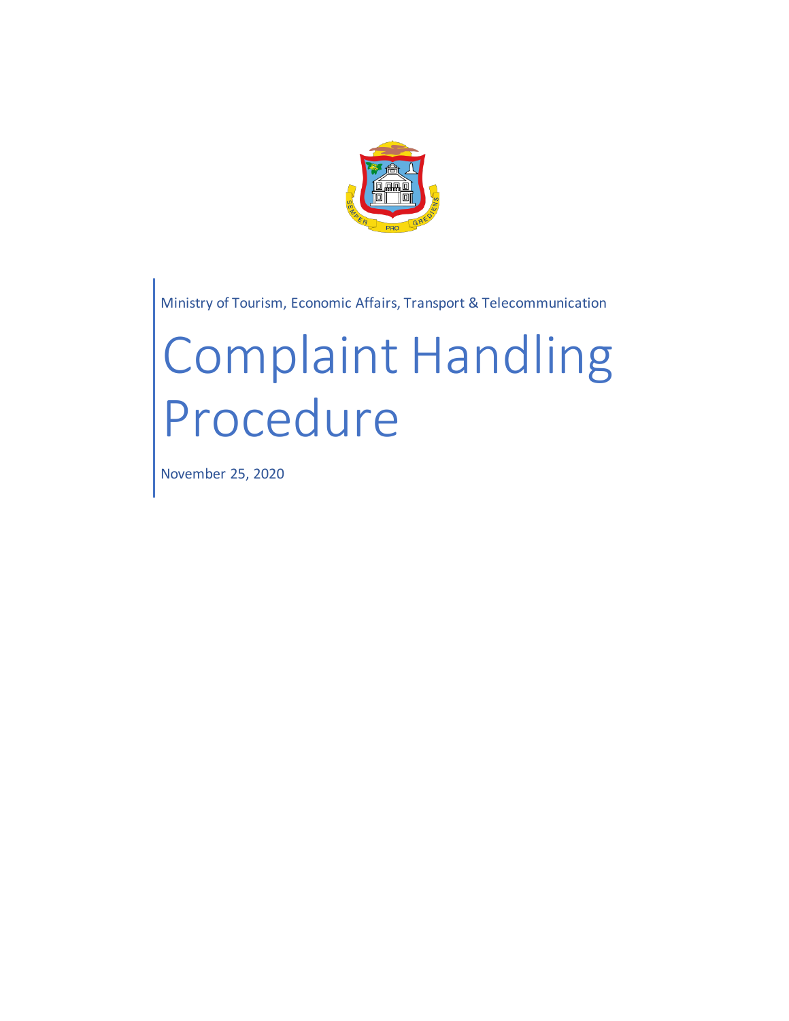

Ministry of Tourism, Economic Affairs, Transport & Telecommunication

# Complaint Handling Procedure

November 25, 2020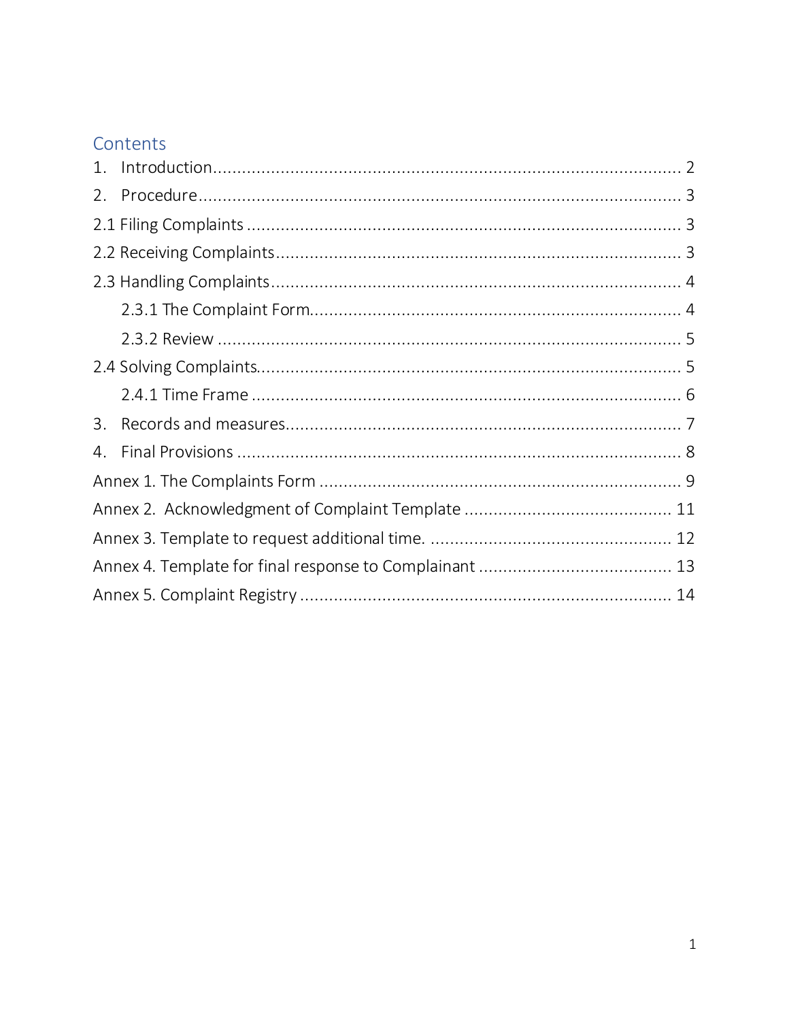# Contents

| 2. |  |  |  |  |  |  |
|----|--|--|--|--|--|--|
|    |  |  |  |  |  |  |
|    |  |  |  |  |  |  |
|    |  |  |  |  |  |  |
|    |  |  |  |  |  |  |
|    |  |  |  |  |  |  |
|    |  |  |  |  |  |  |
|    |  |  |  |  |  |  |
| 3. |  |  |  |  |  |  |
| 4. |  |  |  |  |  |  |
|    |  |  |  |  |  |  |
|    |  |  |  |  |  |  |
|    |  |  |  |  |  |  |
|    |  |  |  |  |  |  |
|    |  |  |  |  |  |  |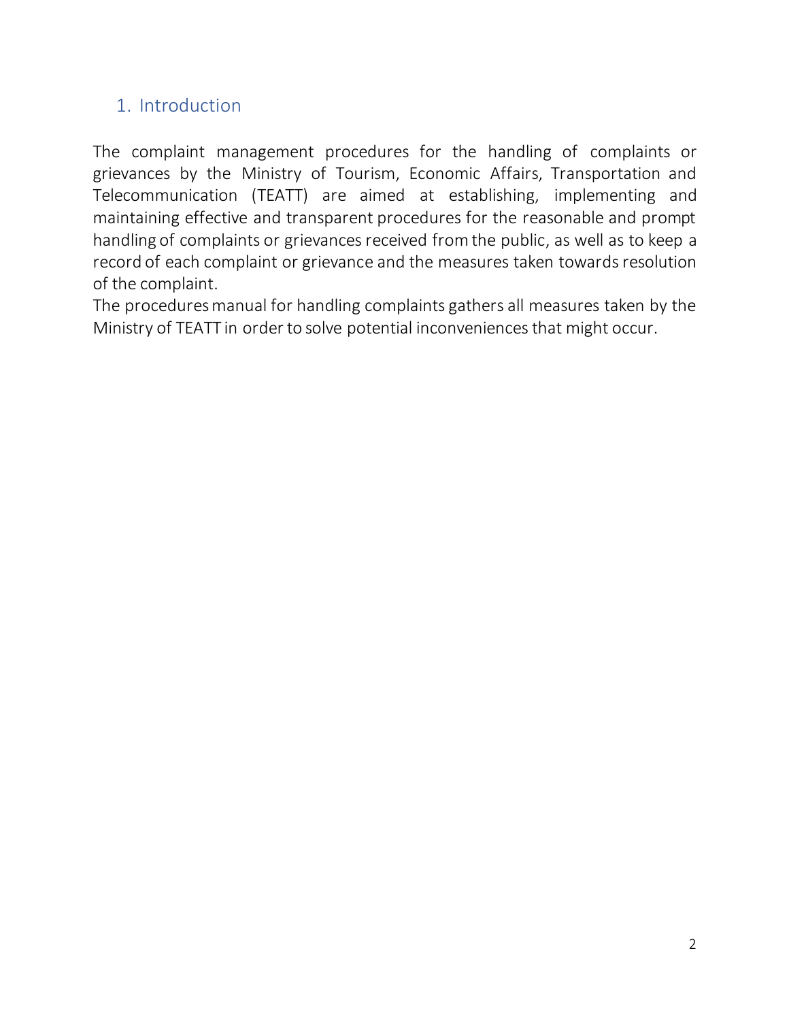# 1. Introduction

The complaint management procedures for the handling of complaints or grievances by the Ministry of Tourism, Economic Affairs, Transportation and Telecommunication (TEATT) are aimed at establishing, implementing and maintaining effective and transparent procedures for the reasonable and prompt handling of complaints or grievances received from the public, as well as to keep a record of each complaint or grievance and the measures taken towards resolution of the complaint.

The procedures manual for handling complaints gathers all measures taken by the Ministry of TEATT in order to solve potential inconveniences that might occur.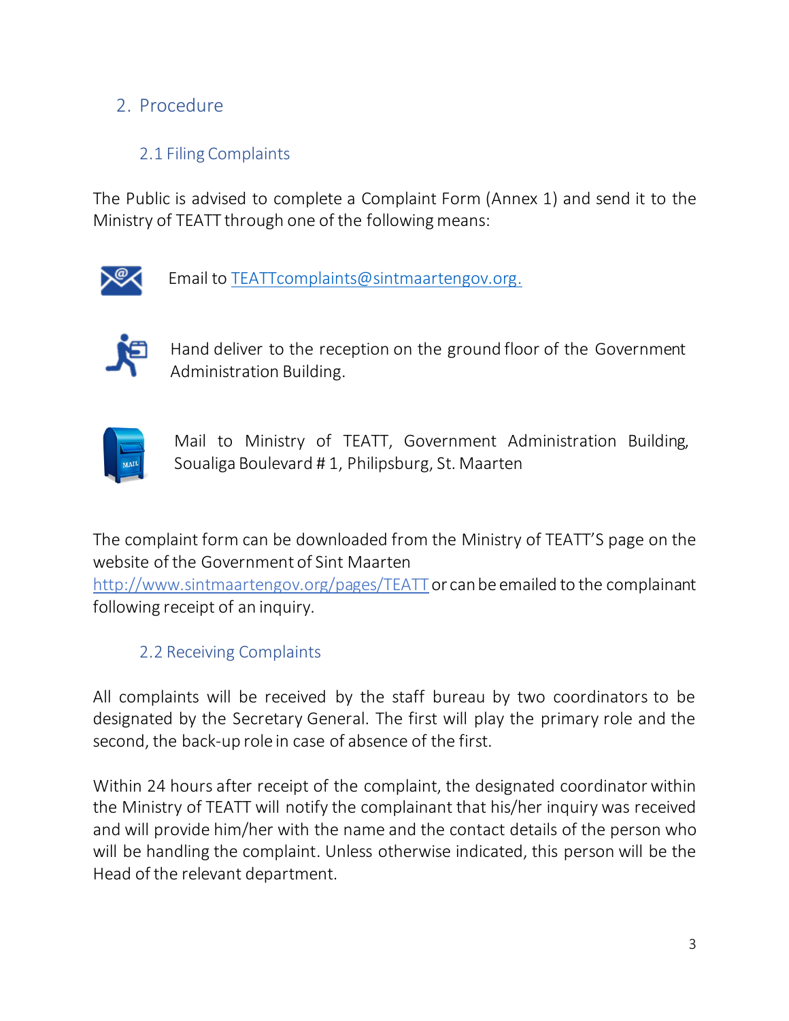# 2. Procedure

## 2.1 Filing Complaints

The Public is advised to complete a Complaint Form (Annex 1) and send it to the Ministry of TEATT through one of the following means:



Email to TEATTcomplaints@sintmaartengov.org.



Hand deliver to the reception on the ground floor of the Government Administration Building.



Mail to Ministry of TEATT, Government Administration Building, Soualiga Boulevard # 1, Philipsburg, St. Maarten

The complaint form can be downloaded from the Ministry of TEATT'S page on the website of the Government of Sint Maarten

http://www.sintmaartengov.org/pages/TEATT or can be emailed to the complainant following receipt of an inquiry.

#### 2.2 Receiving Complaints

All complaints will be received by the staff bureau by two coordinators to be designated by the Secretary General. The first will play the primary role and the second, the back-up role in case of absence of the first.

Within 24 hours after receipt of the complaint, the designated coordinator within the Ministry of TEATT will notify the complainant that his/her inquiry was received and will provide him/her with the name and the contact details of the person who will be handling the complaint. Unless otherwise indicated, this person will be the Head of the relevant department.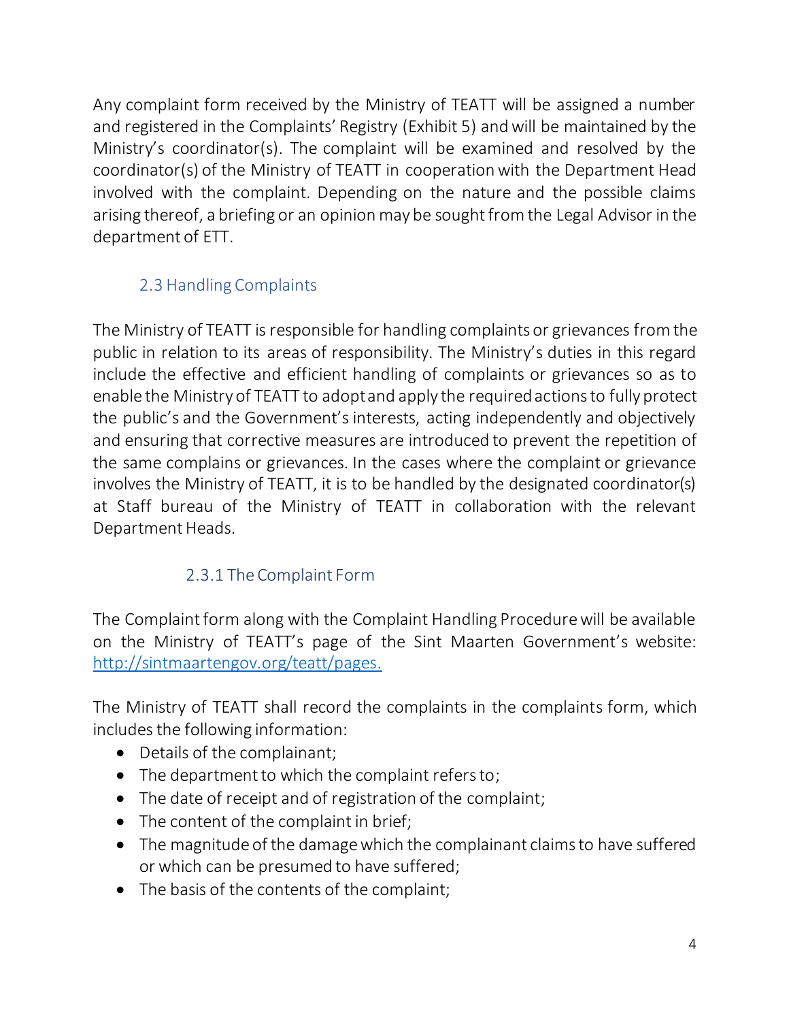Any complaint form received by the Ministry of TEATT will be assigned a number and registered in the Complaints' Registry (Exhibit 5) and will be maintained by the Ministry's coordinator(s). The complaint will be examined and resolved by the coordinator(s) of the Ministry of TEATT in cooperation with the Department Head involved with the complaint. Depending on the nature and the possible claims arising thereof, a briefing or an opinion may be sought from the Legal Advisor in the department of ETT.

# 2.3 Handling Complaints

The Ministry of TEATT is responsible for handling complaints or grievances from the public in relation to its areas of responsibility. The Ministry's duties in this regard include the effective and efficient handling of complaints or grievances so as to enable the Ministry of TEATT to adopt and apply the required actions to fully protect the public's and the Government's interests, acting independently and objectively and ensuring that corrective measures are introduced to prevent the repetition of the same complains or grievances. In the cases where the complaint or grievance involves the Ministry of TEATT, it is to be handled by the designated coordinator(s) at Staff bureau of the Ministry of TEATT in collaboration with the relevant Department Heads.

# 2.3.1 The Complaint Form

The Complaint form along with the Complaint Handling Procedure will be available on the Ministry of TEATT's page of the Sint Maarten Government's website: http://sintmaartengov.org/teatt/pages.

The Ministry of TEATT shall record the complaints in the complaints form, which includes the following information:

- Details of the complainant;
- The department to which the complaint refers to;
- The date of receipt and of registration of the complaint;
- The content of the complaint in brief;
- The magnitude of the damage which the complainant claims to have suffered or which can be presumed to have suffered;
- The basis of the contents of the complaint;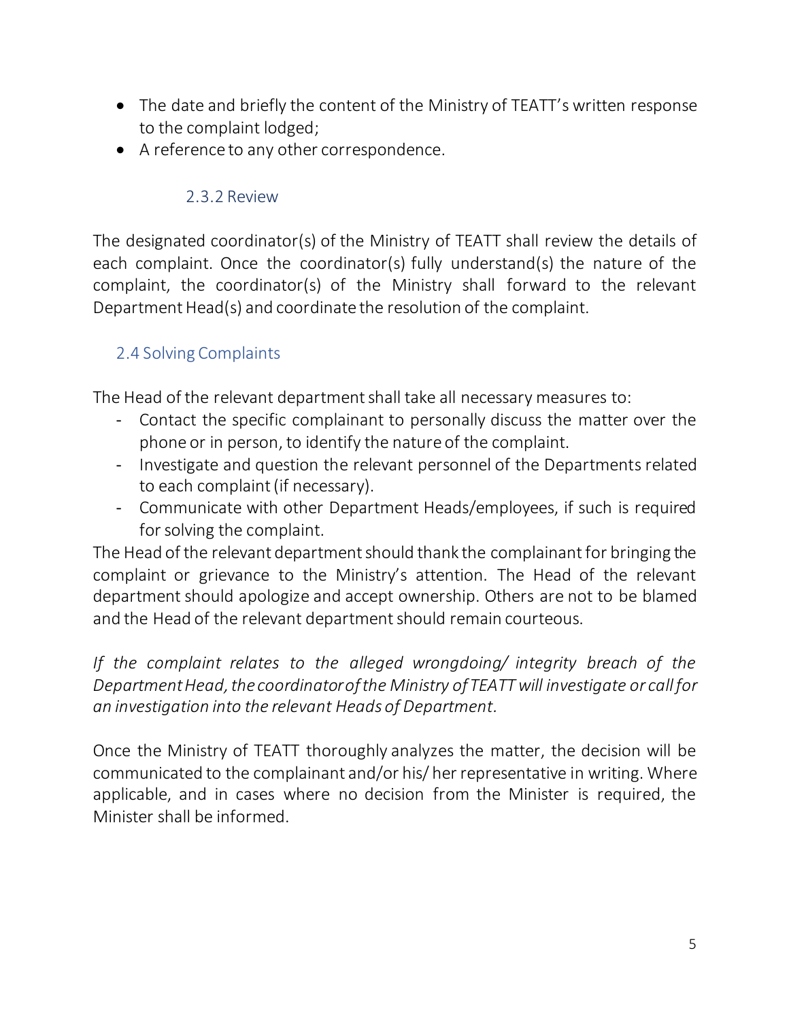- The date and briefly the content of the Ministry of TEATT's written response to the complaint lodged;
- A reference to any other correspondence.

#### 2.3.2 Review

The designated coordinator(s) of the Ministry of TEATT shall review the details of each complaint. Once the coordinator(s) fully understand(s) the nature of the complaint, the coordinator(s) of the Ministry shall forward to the relevant Department Head(s) and coordinate the resolution of the complaint.

## 2.4 Solving Complaints

The Head of the relevant department shall take all necessary measures to:

- Contact the specific complainant to personally discuss the matter over the phone or in person, to identify the nature of the complaint.
- Investigate and question the relevant personnel of the Departments related to each complaint (if necessary).
- Communicate with other Department Heads/employees, if such is required for solving the complaint.

The Head of the relevant department should thank the complainantfor bringing the complaint or grievance to the Ministry's attention. The Head of the relevant department should apologize and accept ownership. Others are not to be blamed and the Head of the relevant department should remain courteous.

*If the complaint relates to the alleged wrongdoing/ integrity breach of the Department Head, the coordinator of the Ministry of TEATT will investigate or call for an investigation into the relevant Heads of Department.*

Once the Ministry of TEATT thoroughly analyzes the matter, the decision will be communicated to the complainant and/or his/ her representative in writing. Where applicable, and in cases where no decision from the Minister is required, the Minister shall be informed.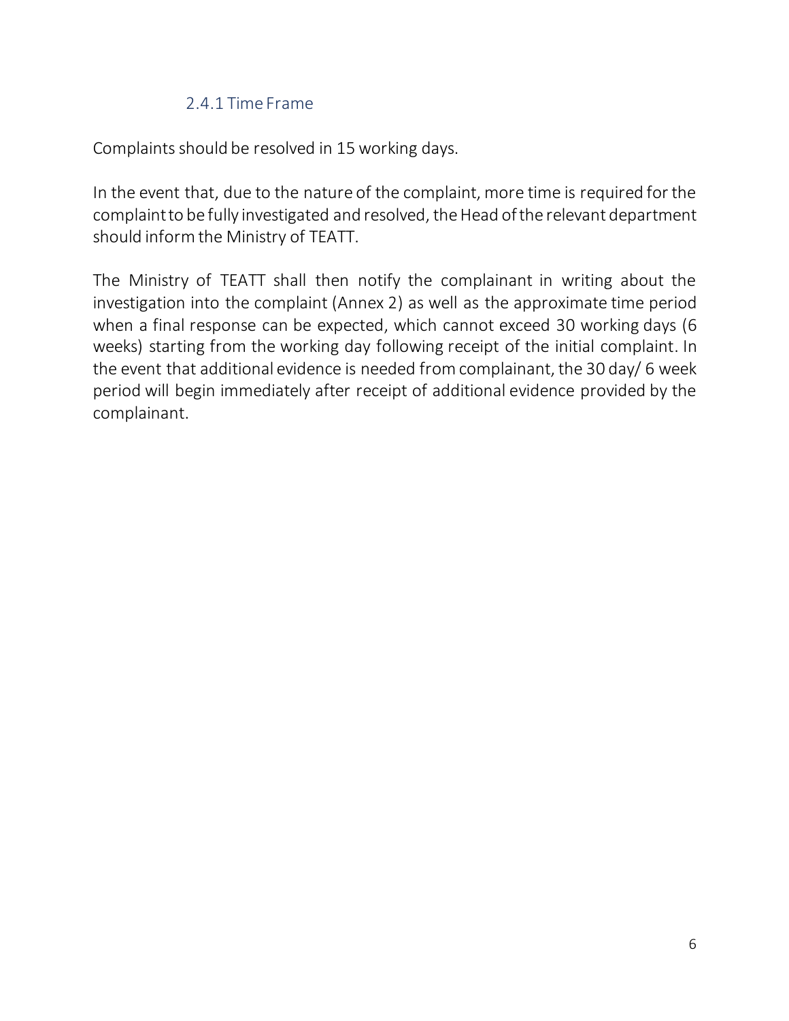#### 2.4.1 Time Frame

Complaints should be resolved in 15 working days.

In the event that, due to the nature of the complaint, more time is required for the complaint to be fully investigated and resolved, the Head of the relevant department should inform the Ministry of TEATT.

The Ministry of TEATT shall then notify the complainant in writing about the investigation into the complaint (Annex 2) as well as the approximate time period when a final response can be expected, which cannot exceed 30 working days (6 weeks) starting from the working day following receipt of the initial complaint. In the event that additional evidence is needed from complainant, the 30 day/ 6 week period will begin immediately after receipt of additional evidence provided by the complainant.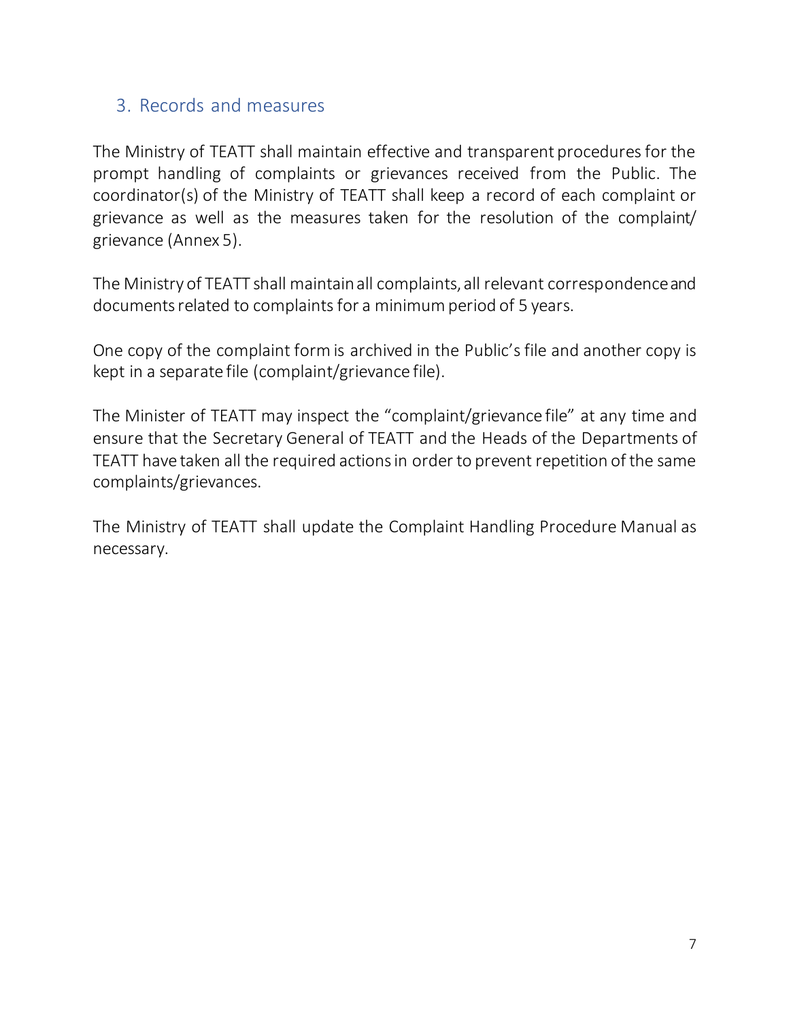#### 3. Records and measures

The Ministry of TEATT shall maintain effective and transparent procedures for the prompt handling of complaints or grievances received from the Public. The coordinator(s) of the Ministry of TEATT shall keep a record of each complaint or grievance as well as the measures taken for the resolution of the complaint/ grievance (Annex 5).

The Ministry of TEATT shall maintain all complaints, all relevant correspondence and documents related to complaints for a minimum period of 5 years.

One copy of the complaint form is archived in the Public's file and another copy is kept in a separate file (complaint/grievance file).

The Minister of TEATT may inspect the "complaint/grievance file" at any time and ensure that the Secretary General of TEATT and the Heads of the Departments of TEATT have taken all the required actions in order to prevent repetition of the same complaints/grievances.

The Ministry of TEATT shall update the Complaint Handling Procedure Manual as necessary.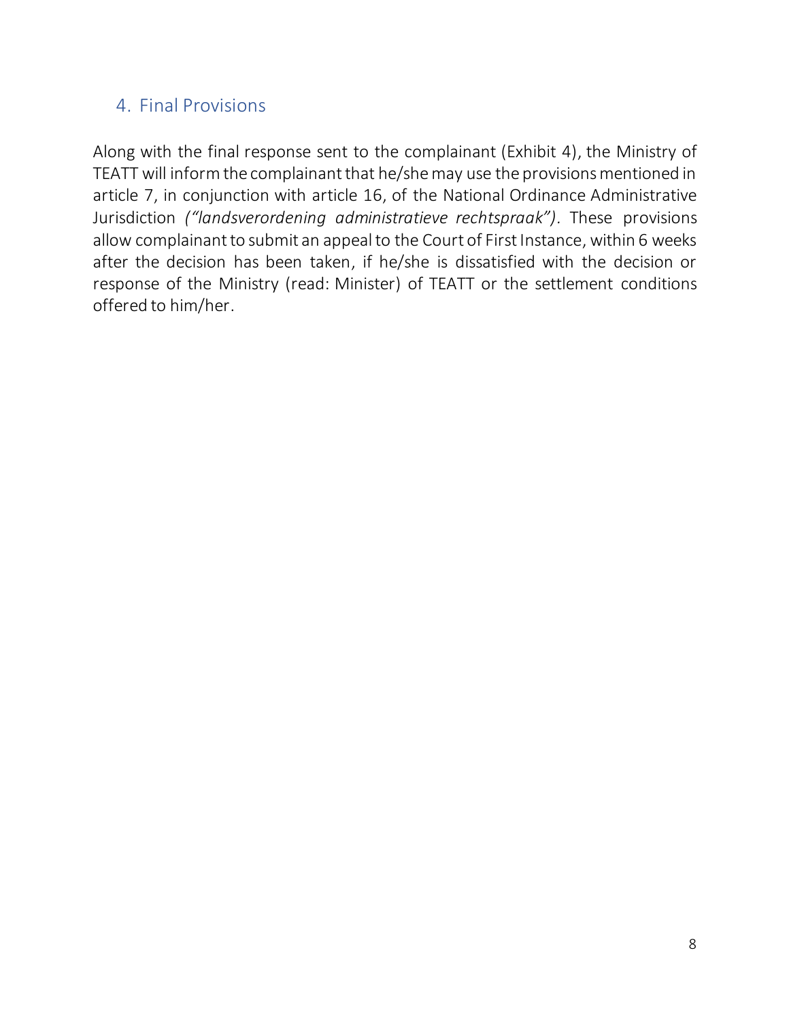# 4. Final Provisions

Along with the final response sent to the complainant (Exhibit 4), the Ministry of TEATT will inform the complainant that he/she may use the provisions mentioned in article 7, in conjunction with article 16, of the National Ordinance Administrative Jurisdiction *("landsverordening administratieve rechtspraak").* These provisions allow complainant to submit an appeal to the Court of First Instance, within 6 weeks after the decision has been taken, if he/she is dissatisfied with the decision or response of the Ministry (read: Minister) of TEATT or the settlement conditions offered to him/her.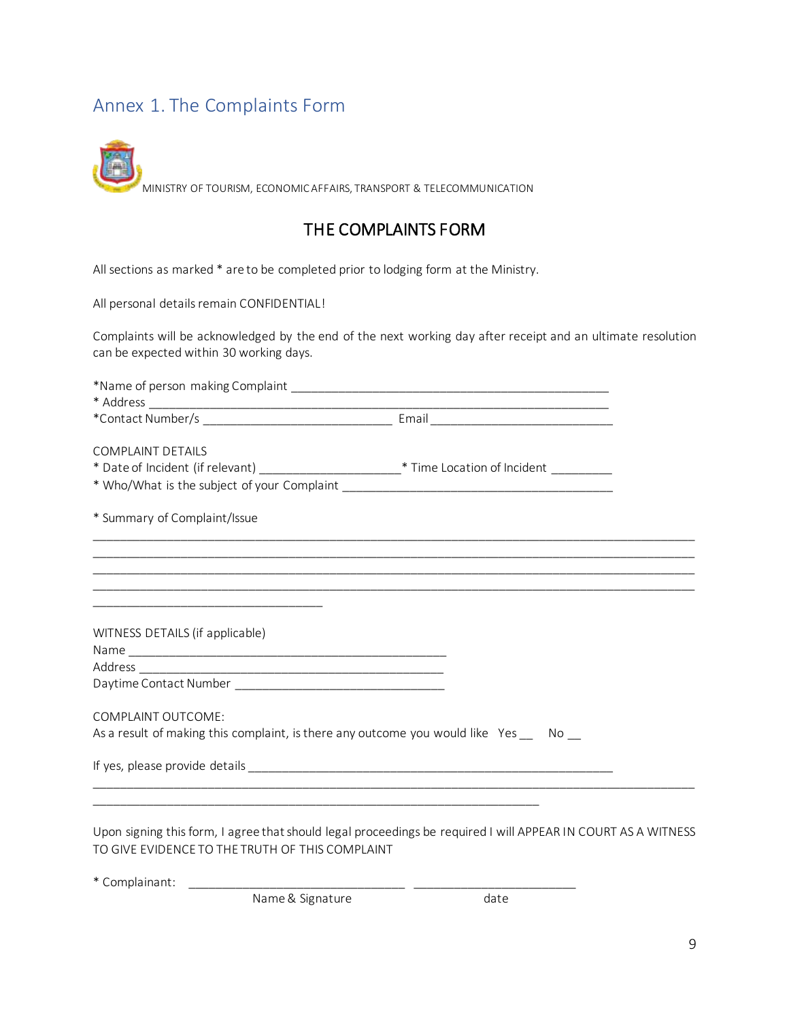## Annex 1. The Complaints Form

MINISTRY OF TOURISM, ECONOMIC AFFAIRS, TRANSPORT & TELECOMMUNICATION

#### THE COMPLAINTS FORM

All sections as marked \* are to be completed prior to lodging form at the Ministry.

All personal details remain CONFIDENTIAL!

Complaints will be acknowledged by the end of the next working day after receipt and an ultimate resolution can be expected within 30 working days.

| <b>COMPLAINT DETAILS</b>                                                                            |  |
|-----------------------------------------------------------------------------------------------------|--|
| * Date of Incident (if relevant) ___________________________* Time Location of Incident ___________ |  |
|                                                                                                     |  |
| * Summary of Complaint/Issue                                                                        |  |
|                                                                                                     |  |
|                                                                                                     |  |
|                                                                                                     |  |
| WITNESS DETAILS (if applicable)                                                                     |  |
|                                                                                                     |  |
|                                                                                                     |  |
|                                                                                                     |  |
| COMPLAINT OUTCOME:                                                                                  |  |
| As a result of making this complaint, is there any outcome you would like Yes __ No __              |  |
|                                                                                                     |  |
|                                                                                                     |  |

Upon signing this form, I agree that should legal proceedings be required I will APPEAR IN COURT AS A WITNESS TO GIVE EVIDENCE TO THE TRUTH OF THIS COMPLAINT

\* Complainant:

Name & Signature date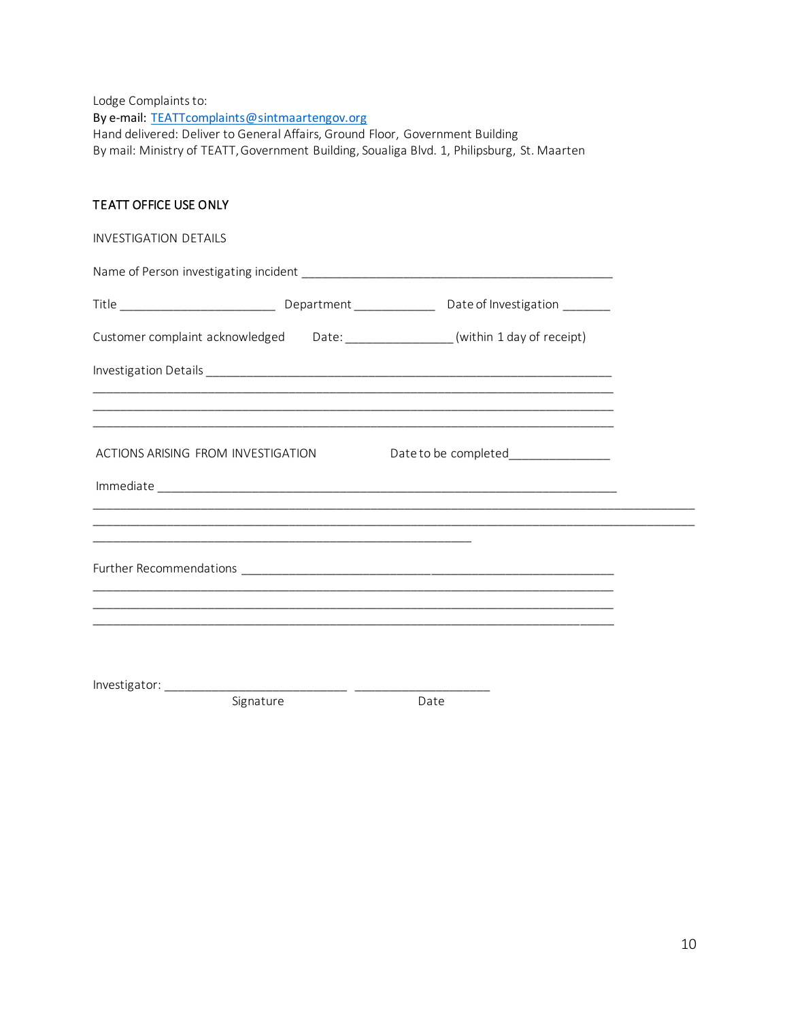Lodge Complaints to: By e-mail: TEATTcomplaints@sintmaartengov.org Hand delivered: Deliver to General Affairs, Ground Floor, Government Building By mail: Ministry of TEATT, Government Building, Soualiga Blvd. 1, Philipsburg, St. Maarten

#### TEATT OFFICE USE ONLY

| <b>INVESTIGATION DETAILS</b>                                                                                          |                                                                                                                                                               |
|-----------------------------------------------------------------------------------------------------------------------|---------------------------------------------------------------------------------------------------------------------------------------------------------------|
|                                                                                                                       |                                                                                                                                                               |
|                                                                                                                       |                                                                                                                                                               |
|                                                                                                                       | Customer complaint acknowledged Date: _______________(within 1 day of receipt)                                                                                |
|                                                                                                                       |                                                                                                                                                               |
|                                                                                                                       | ,我们也不能在这里的人,我们也不能在这里的人,我们也不能在这里的人,我们也不能在这里的人,我们也不能在这里的人,我们也不能在这里的人,我们也不能在这里的人,我们也                                                                             |
| ACTIONS ARISING FROM INVESTIGATION                                                                                    | <u> 1989 - Johann Harry Harry Harry Harry Harry Harry Harry Harry Harry Harry Harry Harry Harry Harry Harry Harry</u><br>Date to be completed________________ |
|                                                                                                                       |                                                                                                                                                               |
|                                                                                                                       | ,我们也不能在这里的,我们也不能在这里的,我们也不能在这里的,我们也不能不能不能不能不能不能不能不能不能不能。""我们的,我们也不能不能不能不能不能不能不能不能                                                                              |
| <u> 1989 - Johann Stoff, deutscher Stoff, der Stoff, der Stoff, der Stoff, der Stoff, der Stoff, der Stoff, der S</u> |                                                                                                                                                               |
|                                                                                                                       |                                                                                                                                                               |
|                                                                                                                       |                                                                                                                                                               |
|                                                                                                                       | <u> 1989 - Johann Harry Harry Harry Harry Harry Harry Harry Harry Harry Harry Harry Harry Harry Harry Harry Harry</u>                                         |
|                                                                                                                       |                                                                                                                                                               |
| $\sim$ $\sim$ $\sim$ $\sim$ $\sim$                                                                                    | $\sim$ $\sim$ $\sim$                                                                                                                                          |

Signature Date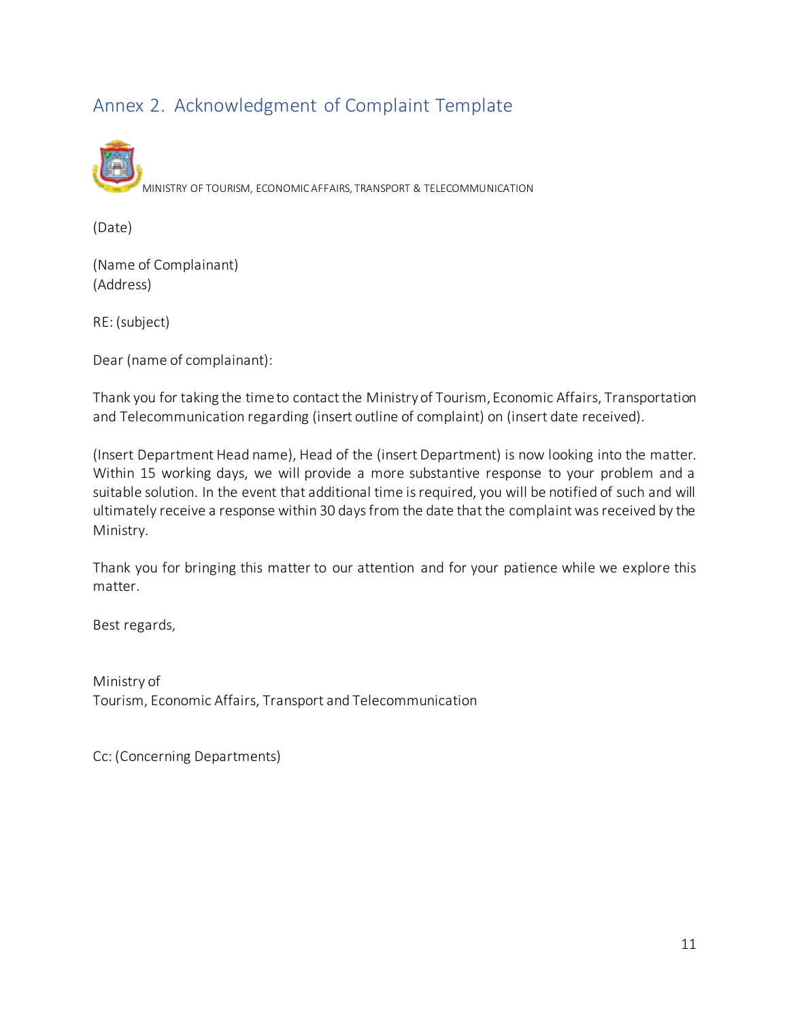# Annex 2. Acknowledgment of Complaint Template



(Date)

(Name of Complainant) (Address)

RE: (subject)

Dear (name of complainant):

Thank you for taking the time to contact the Ministry of Tourism, Economic Affairs, Transportation and Telecommunication regarding (insert outline of complaint) on (insert date received).

(Insert Department Head name), Head of the (insert Department) is now looking into the matter. Within 15 working days, we will provide a more substantive response to your problem and a suitable solution. In the event that additional time is required, you will be notified of such and will ultimately receive a response within 30 days from the date that the complaint was received by the Ministry.

Thank you for bringing this matter to our attention and for your patience while we explore this matter.

Best regards,

Ministry of Tourism, Economic Affairs, Transport and Telecommunication

Cc: (Concerning Departments)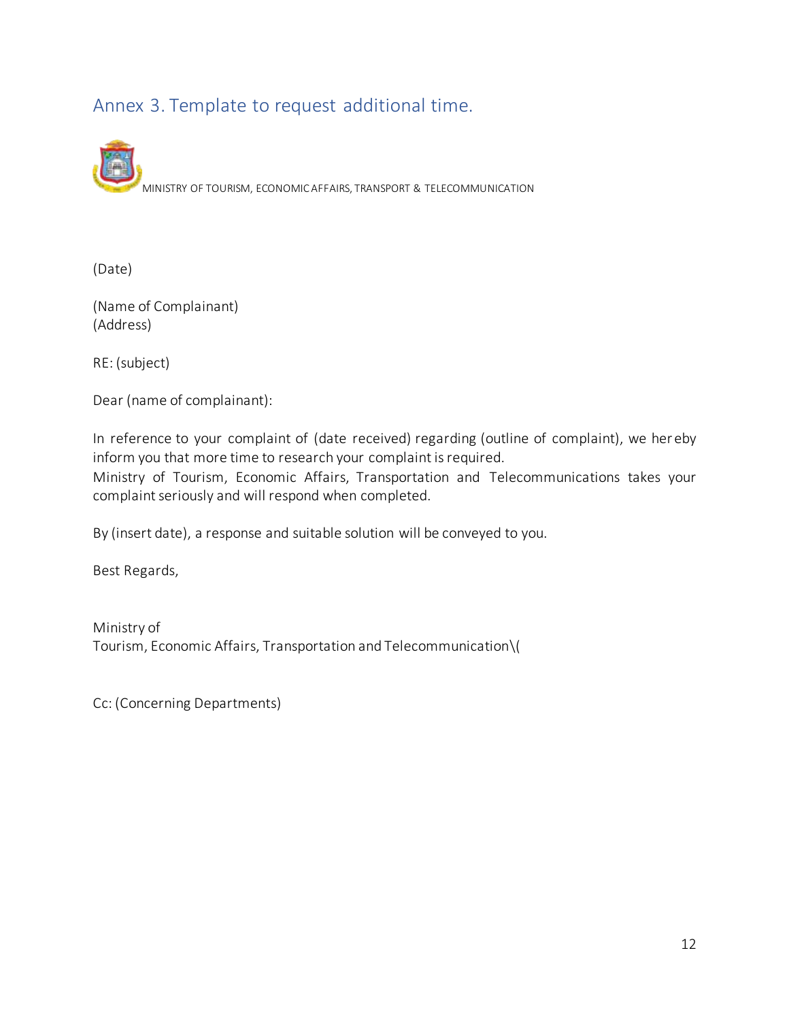# Annex 3. Template to request additional time.

MINISTRY OF TOURISM, ECONOMIC AFFAIRS, TRANSPORT & TELECOMMUNICATION

(Date)

(Name of Complainant) (Address)

RE: (subject)

Dear (name of complainant):

In reference to your complaint of (date received) regarding (outline of complaint), we her eby inform you that more time to research your complaint is required.

Ministry of Tourism, Economic Affairs, Transportation and Telecommunications takes your complaint seriously and will respond when completed.

By (insert date), a response and suitable solution will be conveyed to you.

Best Regards,

Ministry of Tourism, Economic Affairs, Transportation and Telecommunication\(

Cc: (Concerning Departments)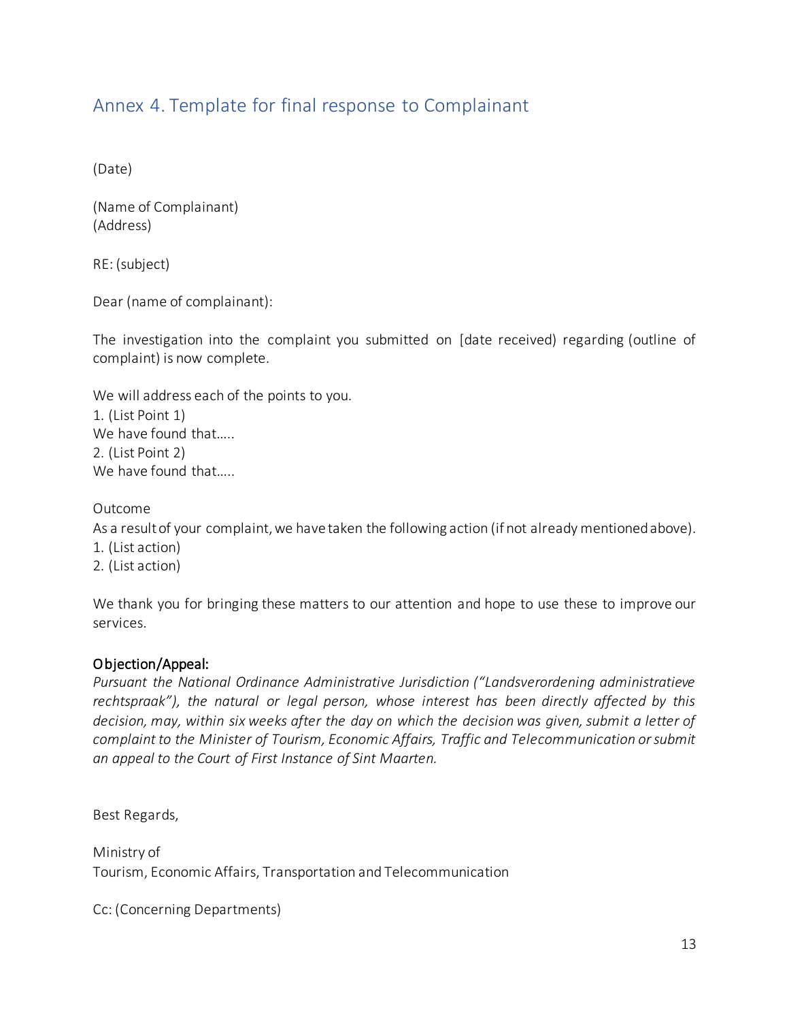## Annex 4. Template for final response to Complainant

(Date)

(Name of Complainant) (Address)

RE: (subject)

Dear (name of complainant):

The investigation into the complaint you submitted on [date received) regarding (outline of complaint) is now complete.

We will address each of the points to you. 1. (List Point 1) We have found that..... 2. (List Point 2) We have found that.....

Outcome

As a result of your complaint, we have taken the following action (if not already mentioned above). 1. (List action)

2. (List action)

We thank you for bringing these matters to our attention and hope to use these to improve our services.

#### Objection/Appeal:

*Pursuant the National Ordinance Administrative Jurisdiction ("Landsverordening administratieve rechtspraak"), the natural or legal person, whose interest has been directly affected by this decision, may, within six weeks after the day on which the decision was given, submit a letter of complaint to the Minister of Tourism, Economic Affairs, Traffic and Telecommunication or submit an appeal to the Court of First Instance of Sint Maarten.* 

Best Regards,

Ministry of Tourism, Economic Affairs, Transportation and Telecommunication

Cc: (Concerning Departments)